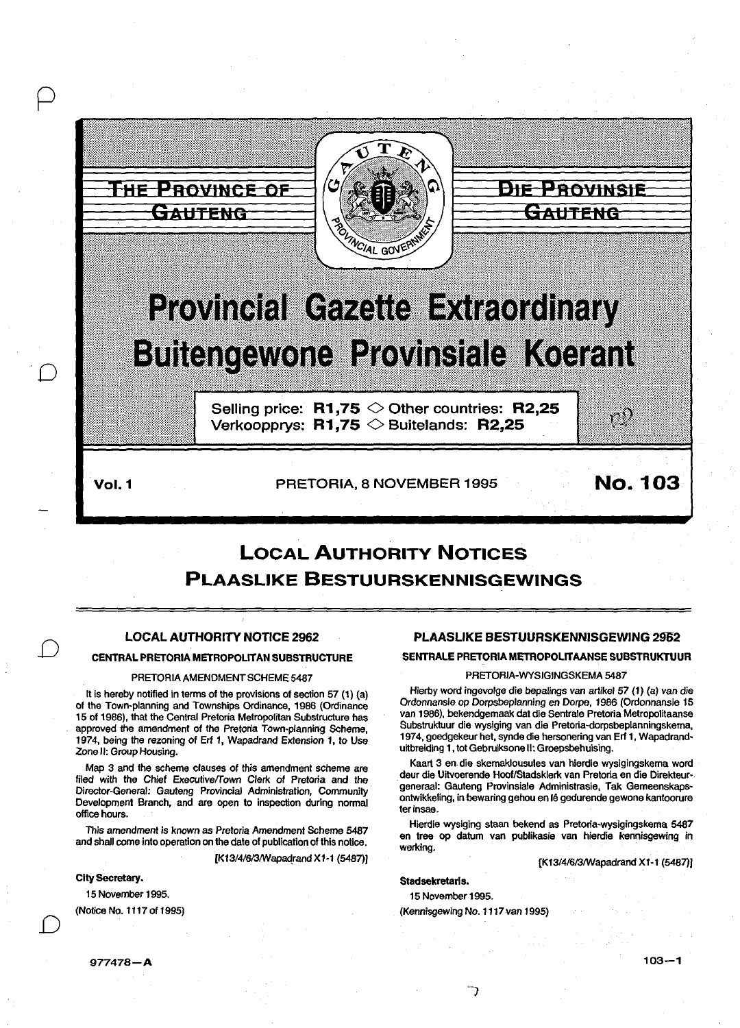

# **LOCAL AUTHORITY NOTICES PLAASLIKE BESTUURSKENNISGEWINGS**

## LOCAL AUTHORITY NOTICE 2962

#### CENTRAL PRETORIA METROPOLITAN SUBSTRUCTURE

#### PRETORIA AMENDMENT SCHEME 5487

It is hereby notified in terms of the provisions of section 57 (1) (a) of the Town-planning and Townships Ordinance, 1986 (Ordinance 15 of 1986), that the Central Pretoria Metropolitan Substructure has approved the amendment of the Pretoria Town-planning Scheme, 1974, being the rezoning of Erl 1, Wapadrand Extension 1, to Use Zone II: Group Housing.

Map 3 and the scheme clauses of this amendment scheme are filed with the Chief Executive/Town Clerk of Pretoria and the Director-General: Gauteng Provincial Administration, Community Development Branch, and are open to inspection during normal office hours.

This amendment is known as Pretoria Amendment Scheme 5487 and shall come into operation on the date of publication of this notice.

[K13/4/6/3/Wapadrand X1-1 (5487)]

City Secretary.

*D* 

*D* 

15 November 1995. (Notice No. 1117 of 1995)

# PLAASLIKE BESTUURSKENNISGEWING 2962

#### SENTRALE PRETORIA METROPOLITAANSE SUBSTRUKTUUR

#### PRETORIA-WYSIGINGSKEMA 5487

Hierby word ingevolge die bepalings van artikel 57 (1) (a) van die Ordonnansie op Dorpsbeplanning en Dorpe, 1986 (Ordonnansie 15 van 1986), bekendgemaak dat die Sentrale Pretoria Metropolitaanse Substruktuur die wysiging *van* die Pretoria-dorpsbeplanningskema, 1974, goedgekeur het, synde die hersonering van Erf 1, Wapadranduitbreiding 1, tot Gebruiksone II: Groepsbehuising.

Kaart 3 en. die skemaklousules van hierdie wysigingskema word deur die Uitvoerende Hoof/Stadsklerk van Pretoria en die Direkteur· generaal: Gauteng Provinsiale Administrasie, Tak Gemeenskaps· ontwikkeling, in bewaring gehou en le gedurende gewone kantoorure terinsae.

Hierdie wysiging staan bekend as Pretoria·wysigingskema 5487 en tree op datum *van* publikasie van hierdie kennisgewing in werking.

[K13/4/6/3/Wapadrand X1·1 (5487))

#### Stadsekretaris.

15 November 1995.

(Kennisgewing No. 1117 van 1995)

977478-A

 $103 - 1$